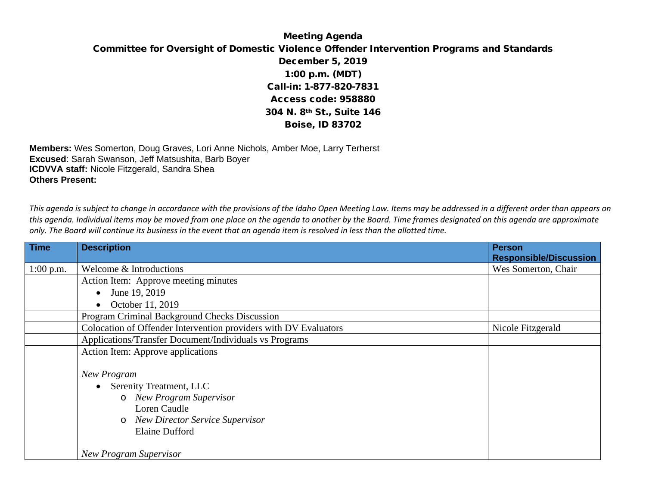## Meeting Agenda Committee for Oversight of Domestic Violence Offender Intervention Programs and Standards December 5, 2019 1:00 p.m. (MDT) Call-in: 1-877-820-7831 Access code: 958880 304 N. 8th St., Suite 146 Boise, ID 83702

**Members:** Wes Somerton, Doug Graves, Lori Anne Nichols, Amber Moe, Larry Terherst **Excused**: Sarah Swanson, Jeff Matsushita, Barb Boyer **ICDVVA staff:** Nicole Fitzgerald, Sandra Shea **Others Present:**

*This agenda is subject to change in accordance with the provisions of the Idaho Open Meeting Law. Items may be addressed in a different order than appears on this agenda. Individual items may be moved from one place on the agenda to another by the Board. Time frames designated on this agenda are approximate only. The Board will continue its business in the event that an agenda item is resolved in less than the allotted time.*

| <b>Time</b> | <b>Description</b>                                                                                                                                                                        | <b>Person</b><br><b>Responsible/Discussion</b> |
|-------------|-------------------------------------------------------------------------------------------------------------------------------------------------------------------------------------------|------------------------------------------------|
| $1:00$ p.m. | Welcome & Introductions                                                                                                                                                                   | Wes Somerton, Chair                            |
|             | Action Item: Approve meeting minutes                                                                                                                                                      |                                                |
|             | June 19, 2019<br>$\bullet$                                                                                                                                                                |                                                |
|             | October 11, 2019<br>$\bullet$                                                                                                                                                             |                                                |
|             | Program Criminal Background Checks Discussion                                                                                                                                             |                                                |
|             | Colocation of Offender Intervention providers with DV Evaluators                                                                                                                          | Nicole Fitzgerald                              |
|             | Applications/Transfer Document/Individuals vs Programs                                                                                                                                    |                                                |
|             | Action Item: Approve applications                                                                                                                                                         |                                                |
|             | <b>New Program</b><br>• Serenity Treatment, LLC<br><b>New Program Supervisor</b><br>$\circ$<br>Loren Caudle<br><b>New Director Service Supervisor</b><br>$\circ$<br><b>Elaine Dufford</b> |                                                |
|             | <b>New Program Supervisor</b>                                                                                                                                                             |                                                |